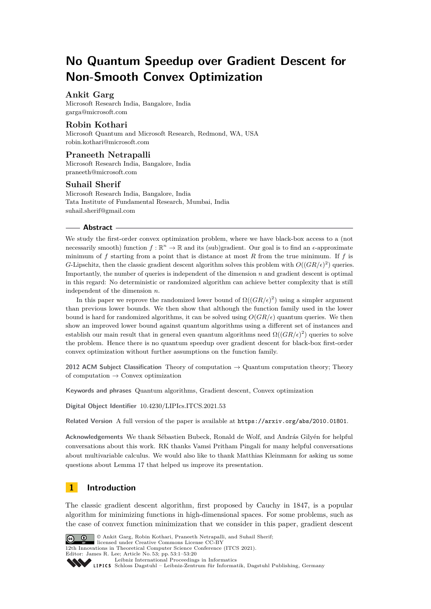# **No Quantum Speedup over Gradient Descent for Non-Smooth Convex Optimization**

# **Ankit Garg**

Microsoft Research India, Bangalore, India [garga@microsoft.com](mailto:garga@microsoft.com)

## **Robin Kothari**

Microsoft Quantum and Microsoft Research, Redmond, WA, USA [robin.kothari@microsoft.com](mailto:robin.kothari@microsoft.com)

# **Praneeth Netrapalli**

Microsoft Research India, Bangalore, India [praneeth@microsoft.com](mailto:praneeth@microsoft.com)

## **Suhail Sherif**

Microsoft Research India, Bangalore, India Tata Institute of Fundamental Research, Mumbai, India [suhail.sherif@gmail.com](mailto:suhail.sherif@gmail.com)

#### **Abstract**

We study the first-order convex optimization problem, where we have black-box access to a (not necessarily smooth) function  $f : \mathbb{R}^n \to \mathbb{R}$  and its (sub)gradient. Our goal is to find an  $\epsilon$ -approximate minimum of *f* starting from a point that is distance at most *R* from the true minimum. If *f* is *G*-Lipschitz, then the classic gradient descent algorithm solves this problem with  $O((GR/\epsilon)^2)$  queries. Importantly, the number of queries is independent of the dimension *n* and gradient descent is optimal in this regard: No deterministic or randomized algorithm can achieve better complexity that is still independent of the dimension *n*.

In this paper we reprove the randomized lower bound of  $\Omega((GR/\epsilon)^2)$  using a simpler argument than previous lower bounds. We then show that although the function family used in the lower bound is hard for randomized algorithms, it can be solved using  $O(GR/\epsilon)$  quantum queries. We then show an improved lower bound against quantum algorithms using a different set of instances and establish our main result that in general even quantum algorithms need  $\Omega((GR/\epsilon)^2)$  queries to solve the problem. Hence there is no quantum speedup over gradient descent for black-box first-order convex optimization without further assumptions on the function family.

**2012 ACM Subject Classification** Theory of computation → Quantum computation theory; Theory of computation  $\rightarrow$  Convex optimization

**Keywords and phrases** Quantum algorithms, Gradient descent, Convex optimization

**Digital Object Identifier** [10.4230/LIPIcs.ITCS.2021.53](https://doi.org/10.4230/LIPIcs.ITCS.2021.53)

**Related Version** A full version of the paper is available at <https://arxiv.org/abs/2010.01801>.

**Acknowledgements** We thank Sébastien Bubeck, Ronald de Wolf, and András Gilyén for helpful conversations about this work. RK thanks Vamsi Pritham Pingali for many helpful conversations about multivariable calculus. We would also like to thank Matthias Kleinmann for asking us some questions about Lemma [17](#page-16-0) that helped us improve its presentation.

# **1 Introduction**

The classic gradient descent algorithm, first proposed by Cauchy in 1847, is a popular algorithm for minimizing functions in high-dimensional spaces. For some problems, such as the case of convex function minimization that we consider in this paper, gradient descent



© Ankit Garg, Robin Kothari, Praneeth Netrapalli, and Suhail Sherif; licensed under Creative Commons License CC-BY 12th Innovations in Theoretical Computer Science Conference (ITCS 2021).

Editor: James R. Lee; Article No. 53; pp. 53:1–53[:20](#page-19-0)

```
Leibniz International Proceedings in Informatics
```
Leibniz International Froceedings in miormatics<br>
LIPICS [Schloss Dagstuhl – Leibniz-Zentrum für Informatik, Dagstuhl Publishing, Germany](https://www.dagstuhl.de)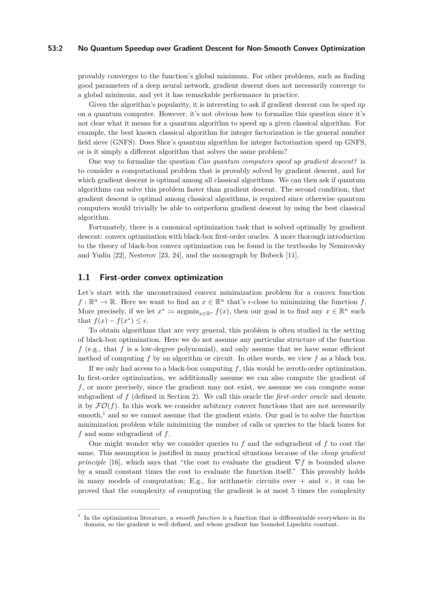#### **53:2 No Quantum Speedup over Gradient Descent for Non-Smooth Convex Optimization**

provably converges to the function's global minimum. For other problems, such as finding good parameters of a deep neural network, gradient descent does not necessarily converge to a global minimum, and yet it has remarkable performance in practice.

Given the algorithm's popularity, it is interesting to ask if gradient descent can be sped up on a quantum computer. However, it's not obvious how to formalize this question since it's not clear what it means for a quantum algorithm to speed up a given classical algorithm. For example, the best known classical algorithm for integer factorization is the general number field sieve (GNFS). Does Shor's quantum algorithm for integer factorization speed up GNFS, or is it simply a different algorithm that solves the same problem?

One way to formalize the question *Can quantum computers speed up gradient descent?* is to consider a computational problem that is provably solved by gradient descent, and for which gradient descent is optimal among all classical algorithms. We can then ask if quantum algorithms can solve this problem faster than gradient descent. The second condition, that gradient descent is optimal among classical algorithms, is required since otherwise quantum computers would trivially be able to outperform gradient descent by using the best classical algorithm.

Fortunately, there is a canonical optimization task that is solved optimally by gradient descent: convex optimization with black-box first-order oracles. A more thorough introduction to the theory of black-box convex optimization can be found in the textbooks by Nemirovsky and Yudin [\[22\]](#page-19-1), Nesterov [\[23,](#page-19-2) [24\]](#page-19-3), and the monograph by Bubeck [\[11\]](#page-19-4).

## **1.1 First-order convex optimization**

Let's start with the unconstrained convex minimization problem for a convex function  $f: \mathbb{R}^n \to \mathbb{R}$ . Here we want to find an  $x \in \mathbb{R}^n$  that's  $\epsilon$ -close to minimizing the function  $f$ . More precisely, if we let  $x^* := \operatorname{argmin}_{x \in \mathbb{R}^n} f(x)$ , then our goal is to find any  $x \in \mathbb{R}^n$  such that  $f(x) - f(x^*) \leq \epsilon$ .

To obtain algorithms that are very general, this problem is often studied in the setting of black-box optimization. Here we do not assume any particular structure of the function *f* (e.g., that *f* is a low-degree polynomial), and only assume that we have some efficient method of computing *f* by an algorithm or circuit. In other words, we view *f* as a black box.

If we only had access to a black-box computing *f*, this would be zeroth-order optimization. In first-order optimization, we additionally assume we can also compute the gradient of *f*, or more precisely, since the gradient may not exist, we assume we can compute some subgradient of *f* (defined in Section [2\)](#page-6-0). We call this oracle the *first-order oracle* and denote it by  $\mathcal{FO}(f)$ . In this work we consider arbitrary convex functions that are not necessarily smooth,<sup>[1](#page-1-0)</sup> and so we cannot assume that the gradient exists. Our goal is to solve the function minimization problem while minimizing the number of calls or queries to the black boxes for *f* and some subgradient of *f*.

One might wonder why we consider queries to *f* and the subgradient of *f* to cost the same. This assumption is justified in many practical situations because of the *cheap gradient principle* [\[16\]](#page-19-5), which says that "the cost to evaluate the gradient  $\nabla f$  is bounded above by a small constant times the cost to evaluate the function itself." This provably holds in many models of computation; E.g., for arithmetic circuits over  $+$  and  $\times$ , it can be proved that the complexity of computing the gradient is at most 5 times the complexity

<span id="page-1-0"></span><sup>1</sup> In the optimization literature, a *smooth function* is a function that is differentiable everywhere in its domain, so the gradient is well defined, and whose gradient has bounded Lipschitz constant.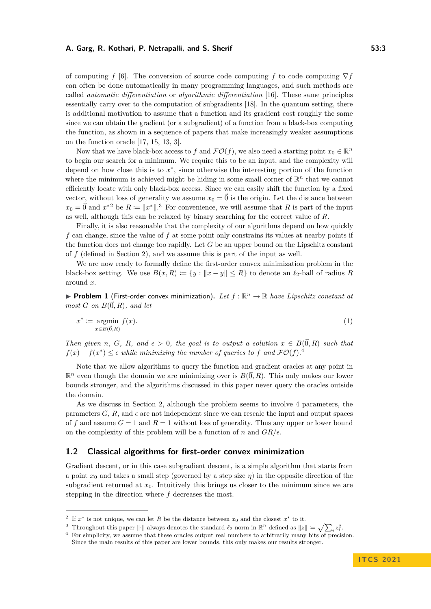#### **A. Garg, R. Kothari, P. Netrapalli, and S. Sherif 19. 20. 20. 20. 20. 20. 20. 20. 20. 33:3**

of computing *f* [\[6\]](#page-18-0). The conversion of source code computing *f* to code computing ∇*f* can often be done automatically in many programming languages, and such methods are called *automatic differentiation* or *algorithmic differentiation* [\[16\]](#page-19-5). These same principles essentially carry over to the computation of subgradients [\[18\]](#page-19-6). In the quantum setting, there is additional motivation to assume that a function and its gradient cost roughly the same since we can obtain the gradient (or a subgradient) of a function from a black-box computing the function, as shown in a sequence of papers that make increasingly weaker assumptions on the function oracle [\[17,](#page-19-7) [15,](#page-19-8) [13,](#page-19-9) [3\]](#page-18-1).

Now that we have black-box access to *f* and  $\mathcal{FO}(f)$ , we also need a starting point  $x_0 \in \mathbb{R}^n$ to begin our search for a minimum. We require this to be an input, and the complexity will depend on how close this is to *x* ∗ , since otherwise the interesting portion of the function where the minimum is achieved might be hiding in some small corner of  $\mathbb{R}^n$  that we cannot efficiently locate with only black-box access. Since we can easily shift the function by a fixed vector, without loss of generality we assume  $x_0 = \vec{0}$  is the origin. Let the distance between  $x_0 = \vec{0}$  and  $x^*$ <sup>[2](#page-2-0)</sup> be  $R := \|x^*\|$ .<sup>[3](#page-2-1)</sup> For convenience, we will assume that  $R$  is part of the input as well, although this can be relaxed by binary searching for the correct value of *R*.

Finally, it is also reasonable that the complexity of our algorithms depend on how quickly *f* can change, since the value of *f* at some point only constrains its values at nearby points if the function does not change too rapidly. Let *G* be an upper bound on the Lipschitz constant of *f* (defined in Section [2\)](#page-6-0), and we assume this is part of the input as well.

We are now ready to formally define the first-order convex minimization problem in the black-box setting. We use  $B(x, R) := \{y : ||x - y|| \leq R\}$  to denote an  $\ell_2$ -ball of radius R around *x*.

<span id="page-2-3"></span>**Problem 1** (First-order convex minimization). Let  $f : \mathbb{R}^n \to \mathbb{R}$  have Lipschitz constant at  $most G$  *on*  $B(\vec{0}, R)$ *, and let* 

$$
x^* := \underset{x \in B(\vec{0},R)}{\text{argmin}} f(x). \tag{1}
$$

*Then given n*, *G*, *R*, and  $\epsilon > 0$ , the goal is to output a solution  $x \in B(\vec{0},R)$  *such that*  $f(x) - f(x^*) \leq \epsilon$  while minimizing the number of queries to f and  $\mathcal{FO}(f)$ .

Note that we allow algorithms to query the function and gradient oracles at any point in  $\mathbb{R}^n$  even though the domain we are minimizing over is  $B(\vec{0}, R)$ . This only makes our lower bounds stronger, and the algorithms discussed in this paper never query the oracles outside the domain.

As we discuss in Section [2,](#page-6-0) although the problem seems to involve 4 parameters, the parameters  $G, R$ , and  $\epsilon$  are not independent since we can rescale the input and output spaces of f and assume  $G = 1$  and  $R = 1$  without loss of generality. Thus any upper or lower bound on the complexity of this problem will be a function of *n* and  $GR/\epsilon$ .

## **1.2 Classical algorithms for first-order convex minimization**

Gradient descent, or in this case subgradient descent, is a simple algorithm that starts from a point  $x_0$  and takes a small step (governed by a step size  $\eta$ ) in the opposite direction of the subgradient returned at  $x<sub>0</sub>$ . Intuitively this brings us closer to the minimum since we are stepping in the direction where *f* decreases the most.

<span id="page-2-0"></span><sup>&</sup>lt;sup>2</sup> If  $x^*$  is not unique, we can let R be the distance between  $x_0$  and the closest  $x^*$  to it.

<span id="page-2-1"></span><sup>&</sup>lt;sup>3</sup> Throughout this paper  $\|\cdot\|$  always denotes the standard  $\ell_2$  norm in  $\mathbb{R}^n$  defined as  $\|z\| \coloneqq \sqrt{\sum_i z_i^2}$ .

<span id="page-2-2"></span><sup>&</sup>lt;sup>4</sup> For simplicity, we assume that these oracles output real numbers to arbitrarily many bits of precision. Since the main results of this paper are lower bounds, this only makes our results stronger.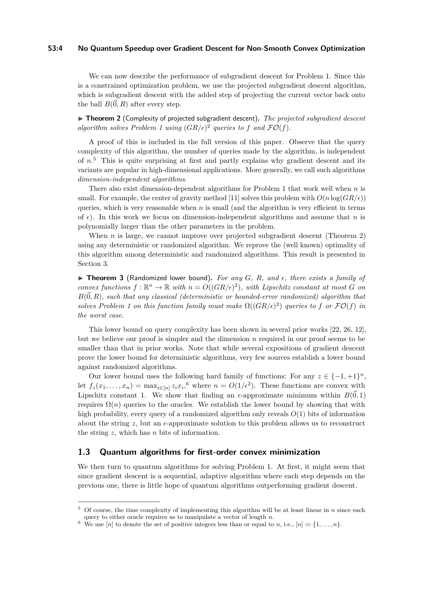#### **53:4 No Quantum Speedup over Gradient Descent for Non-Smooth Convex Optimization**

We can now describe the performance of subgradient descent for Problem [1.](#page-2-3) Since this is a constrained optimization problem, we use the projected subgradient descent algorithm, which is subgradient descent with the added step of projecting the current vector back onto the ball  $B(\vec{0}, R)$  after every step.

<span id="page-3-1"></span>I **Theorem 2** (Complexity of projected subgradient descent)**.** *The projected subgradient descent* algorithm solves Problem [1](#page-2-3) using  $(GR/\epsilon)^2$  queries to f and  $\mathcal{FO}(f)$ .

A proof of this is included in the full version of this paper. Observe that the query complexity of this algorithm, the number of queries made by the algorithm, is independent of *n*. [5](#page-3-0) This is quite surprising at first and partly explains why gradient descent and its variants are popular in high-dimensional applications. More generally, we call such algorithms *dimension-independent algorithms*.

There also exist dimension-dependent algorithms for Problem [1](#page-2-3) that work well when *n* is small. For example, the center of gravity method [\[11\]](#page-19-4) solves this problem with  $O(n \log(GR/\epsilon))$ queries, which is very reasonable when *n* is small (and the algorithm is very efficient in terms of  $\epsilon$ ). In this work we focus on dimension-independent algorithms and assume that *n* is polynomially larger than the other parameters in the problem.

When  $n$  is large, we cannot improve over projected subgradient descent (Theorem [2\)](#page-3-1) using any deterministic or randomized algorithm. We reprove the (well known) optimality of this algorithm among deterministic and randomized algorithms. This result is presented in Section [3.](#page-7-0)

<span id="page-3-3"></span> $\triangleright$  **Theorem 3** (Randomized lower bound). For any G, R, and  $\epsilon$ , there exists a family of *convex functions*  $f: \mathbb{R}^n \to \mathbb{R}$  *with*  $n = O((GR/\epsilon)^2)$ *, with Lipschitz constant at most G on*  $B(\vec{0},R)$ *, such that any classical (deterministic or bounded-error randomized) algorithm that solves Problem* [1](#page-2-3) on this function family must make  $\Omega((GR/\epsilon)^2)$  queries to f or  $\mathcal{FO}(f)$  in *the worst case.*

This lower bound on query complexity has been shown in several prior works [\[22,](#page-19-1) [26,](#page-19-10) [12\]](#page-19-11), but we believe our proof is simpler and the dimension *n* required in our proof seems to be smaller than that in prior works. Note that while several expositions of gradient descent prove the lower bound for deterministic algorithms, very few sources establish a lower bound against randomized algorithms.

Our lower bound uses the following hard family of functions: For any  $z \in \{-1, +1\}^n$ , let  $f_z(x_1, \ldots, x_n) = \max_{i \in [n]} z_i x_i$ <sup>[6](#page-3-2)</sup>, where  $n = O(1/\epsilon^2)$ . These functions are convex with Lipschitz constant 1. We show that finding an  $\epsilon$ -approximate minimum within  $B(\vec{0}, 1)$ requires  $\Omega(n)$  queries to the oracles. We establish the lower bound by showing that with high probability, every query of a randomized algorithm only reveals *O*(1) bits of information about the string  $z$ , but an  $\epsilon$ -approximate solution to this problem allows us to reconstruct the string *z*, which has *n* bits of information.

# **1.3 Quantum algorithms for first-order convex minimization**

We then turn to quantum algorithms for solving Problem [1.](#page-2-3) At first, it might seem that since gradient descent is a sequential, adaptive algorithm where each step depends on the previous one, there is little hope of quantum algorithms outperforming gradient descent.

<span id="page-3-0"></span><sup>5</sup> Of course, the time complexity of implementing this algorithm will be at least linear in *n* since each query to either oracle requires us to manipulate a vector of length *n*.

<span id="page-3-2"></span><sup>&</sup>lt;sup>6</sup> We use  $[n]$  to denote the set of positive integers less than or equal to *n*, i.e.,  $[n] := \{1, \ldots, n\}.$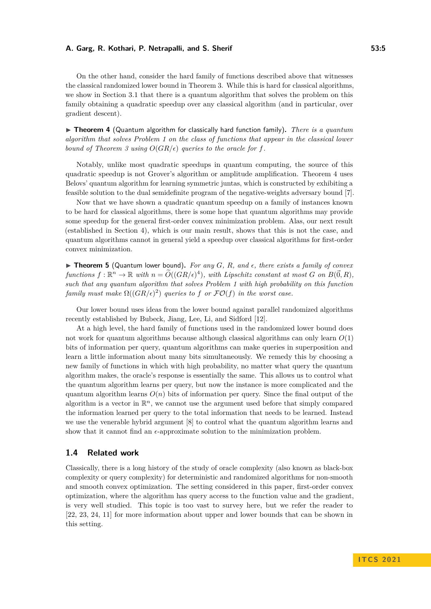On the other hand, consider the hard family of functions described above that witnesses the classical randomized lower bound in Theorem [3.](#page-3-3) While this is hard for classical algorithms, we show in Section [3.1](#page-10-0) that there is a quantum algorithm that solves the problem on this family obtaining a quadratic speedup over any classical algorithm (and in particular, over gradient descent).

<span id="page-4-0"></span>▶ **Theorem 4** (Quantum algorithm for classically hard function family). *There is a quantum algorithm that solves Problem [1](#page-2-3) on the class of functions that appear in the classical lower bound of Theorem [3](#page-3-3) using*  $O(GR/\epsilon)$  *queries to the oracle for f.* 

Notably, unlike most quadratic speedups in quantum computing, the source of this quadratic speedup is not Grover's algorithm or amplitude amplification. Theorem [4](#page-4-0) uses Belovs' quantum algorithm for learning symmetric juntas, which is constructed by exhibiting a feasible solution to the dual semidefinite program of the negative-weights adversary bound [\[7\]](#page-18-2).

Now that we have shown a quadratic quantum speedup on a family of instances known to be hard for classical algorithms, there is some hope that quantum algorithms may provide some speedup for the general first-order convex minimization problem. Alas, our next result (established in Section [4\)](#page-10-1), which is our main result, shows that this is not the case, and quantum algorithms cannot in general yield a speedup over classical algorithms for first-order convex minimization.

<span id="page-4-1"></span> $\triangleright$  **Theorem 5** (Quantum lower bound). For any G, R, and  $\epsilon$ , there exists a family of convex  $f$ *unctions*  $f: \mathbb{R}^n \to \mathbb{R}$  with  $n = \widetilde{O}((GR/\epsilon)^4)$ , with Lipschitz constant at most  $G$  on  $B(\vec{0}, R)$ , *such that any quantum algorithm that solves Problem [1](#page-2-3) with high probability on this function family must make*  $\Omega((GR/\epsilon)^2)$  *queries to f or*  $\mathcal{FO}(f)$  *in the worst case.* 

Our lower bound uses ideas from the lower bound against parallel randomized algorithms recently established by Bubeck, Jiang, Lee, Li, and Sidford [\[12\]](#page-19-11).

At a high level, the hard family of functions used in the randomized lower bound does not work for quantum algorithms because although classical algorithms can only learn *O*(1) bits of information per query, quantum algorithms can make queries in superposition and learn a little information about many bits simultaneously. We remedy this by choosing a new family of functions in which with high probability, no matter what query the quantum algorithm makes, the oracle's response is essentially the same. This allows us to control what the quantum algorithm learns per query, but now the instance is more complicated and the quantum algorithm learns  $O(n)$  bits of information per query. Since the final output of the algorithm is a vector in  $\mathbb{R}^n$ , we cannot use the argument used before that simply compared the information learned per query to the total information that needs to be learned. Instead we use the venerable hybrid argument [\[8\]](#page-18-3) to control what the quantum algorithm learns and show that it cannot find an  $\epsilon$ -approximate solution to the minimization problem.

## **1.4 Related work**

Classically, there is a long history of the study of oracle complexity (also known as black-box complexity or query complexity) for deterministic and randomized algorithms for non-smooth and smooth convex optimization. The setting considered in this paper, first-order convex optimization, where the algorithm has query access to the function value and the gradient, is very well studied. This topic is too vast to survey here, but we refer the reader to [\[22,](#page-19-1) [23,](#page-19-2) [24,](#page-19-3) [11\]](#page-19-4) for more information about upper and lower bounds that can be shown in this setting.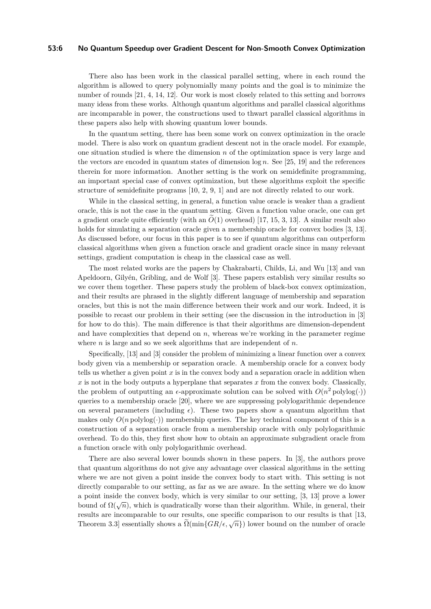#### **53:6 No Quantum Speedup over Gradient Descent for Non-Smooth Convex Optimization**

There also has been work in the classical parallel setting, where in each round the algorithm is allowed to query polynomially many points and the goal is to minimize the number of rounds [\[21,](#page-19-12) [4,](#page-18-4) [14,](#page-19-13) [12\]](#page-19-11). Our work is most closely related to this setting and borrows many ideas from these works. Although quantum algorithms and parallel classical algorithms are incomparable in power, the constructions used to thwart parallel classical algorithms in these papers also help with showing quantum lower bounds.

In the quantum setting, there has been some work on convex optimization in the oracle model. There is also work on quantum gradient descent not in the oracle model. For example, one situation studied is where the dimension *n* of the optimization space is very large and the vectors are encoded in quantum states of dimension log *n*. See [\[25,](#page-19-14) [19\]](#page-19-15) and the references therein for more information. Another setting is the work on semidefinite programming, an important special case of convex optimization, but these algorithms exploit the specific structure of semidefinite programs [\[10,](#page-19-16) [2,](#page-18-5) [9,](#page-18-6) [1\]](#page-18-7) and are not directly related to our work.

While in the classical setting, in general, a function value oracle is weaker than a gradient oracle, this is not the case in the quantum setting. Given a function value oracle, one can get a gradient oracle quite efficiently (with an  $\tilde{O}(1)$  overhead) [\[17,](#page-19-7) [15,](#page-19-8) [3,](#page-18-1) [13\]](#page-19-9). A similar result also holds for simulating a separation oracle given a membership oracle for convex bodies [\[3,](#page-18-1) [13\]](#page-19-9). As discussed before, our focus in this paper is to see if quantum algorithms can outperform classical algorithms when given a function oracle and gradient oracle since in many relevant settings, gradient computation is cheap in the classical case as well.

The most related works are the papers by Chakrabarti, Childs, Li, and Wu [\[13\]](#page-19-9) and van Apeldoorn, Gilyén, Gribling, and de Wolf [\[3\]](#page-18-1). These papers establish very similar results so we cover them together. These papers study the problem of black-box convex optimization, and their results are phrased in the slightly different language of membership and separation oracles, but this is not the main difference between their work and our work. Indeed, it is possible to recast our problem in their setting (see the discussion in the introduction in [\[3\]](#page-18-1) for how to do this). The main difference is that their algorithms are dimension-dependent and have complexities that depend on *n*, whereas we're working in the parameter regime where *n* is large and so we seek algorithms that are independent of *n*.

Specifically, [\[13\]](#page-19-9) and [\[3\]](#page-18-1) consider the problem of minimizing a linear function over a convex body given via a membership or separation oracle. A membership oracle for a convex body tells us whether a given point  $x$  is in the convex body and a separation oracle in addition when *x* is not in the body outputs a hyperplane that separates *x* from the convex body. Classically, the problem of outputting an  $\epsilon$ -approximate solution can be solved with  $O(n^2 \text{ polylog}(\cdot))$ queries to a membership oracle [\[20\]](#page-19-17), where we are suppressing polylogarithmic dependence on several parameters (including  $\epsilon$ ). These two papers show a quantum algorithm that makes only  $O(n \text{ polylog}(·))$  membership queries. The key technical component of this is a construction of a separation oracle from a membership oracle with only polylogarithmic overhead. To do this, they first show how to obtain an approximate subgradient oracle from a function oracle with only polylogarithmic overhead.

There are also several lower bounds shown in these papers. In [\[3\]](#page-18-1), the authors prove that quantum algorithms do not give any advantage over classical algorithms in the setting where we are not given a point inside the convex body to start with. This setting is not directly comparable to our setting, as far as we are aware. In the setting where we do know a point inside the convex body, which is very similar to our setting, [\[3,](#page-18-1) [13\]](#page-19-9) prove a lower bound of  $\Omega(\sqrt{n})$ , which is quadratically worse than their algorithm. While, in general, their results are incomparable to our results, one specific comparison to our results is that [\[13,](#page-19-9) Theorem 3.3] essentially shows a  $\tilde{\Omega}(\min\{GR/\epsilon, \sqrt{n}\})$  lower bound on the number of oracle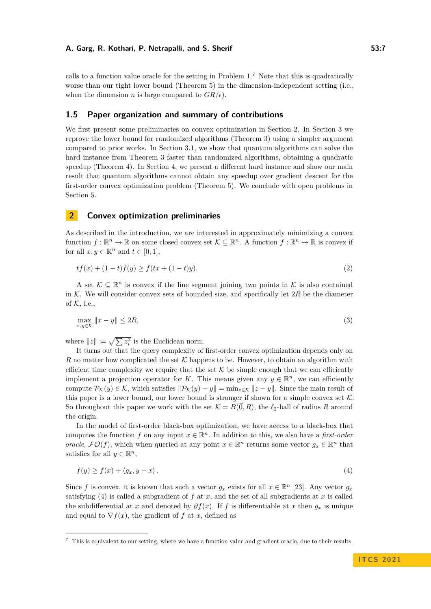calls to a function value oracle for the setting in Problem  $1<sup>7</sup>$  $1<sup>7</sup>$  $1<sup>7</sup>$  Note that this is quadratically worse than our tight lower bound (Theorem [5\)](#page-4-1) in the dimension-independent setting (i.e., when the dimension *n* is large compared to  $GR/\epsilon$ .

## **1.5 Paper organization and summary of contributions**

We first present some preliminaries on convex optimization in Section [2.](#page-6-0) In Section [3](#page-7-0) we reprove the lower bound for randomized algorithms (Theorem [3\)](#page-3-3) using a simpler argument compared to prior works. In Section [3.1,](#page-10-0) we show that quantum algorithms can solve the hard instance from Theorem [3](#page-3-3) faster than randomized algorithms, obtaining a quadratic speedup (Theorem [4\)](#page-4-0). In Section [4,](#page-10-1) we present a different hard instance and show our main result that quantum algorithms cannot obtain any speedup over gradient descent for the first-order convex optimization problem (Theorem [5\)](#page-4-1). We conclude with open problems in Section [5.](#page-17-0)

# <span id="page-6-0"></span>**2 Convex optimization preliminaries**

As described in the introduction, we are interested in approximately minimizing a convex function  $f: \mathbb{R}^n \to \mathbb{R}$  on some closed convex set  $\mathcal{K} \subseteq \mathbb{R}^n$ . A function  $f: \mathbb{R}^n \to \mathbb{R}$  is convex if for all  $x, y \in \mathbb{R}^n$  and  $t \in [0, 1]$ ,

$$
tf(x) + (1-t)f(y) \ge f(tx + (1-t)y). \tag{2}
$$

A set  $\mathcal{K} \subseteq \mathbb{R}^n$  is convex if the line segment joining two points in  $\mathcal{K}$  is also contained in  $K$ . We will consider convex sets of bounded size, and specifically let  $2R$  be the diameter of  $K$ , i.e.,

$$
\max_{x,y \in \mathcal{K}} \|x - y\| \le 2R,\tag{3}
$$

where  $||z|| \coloneqq \sqrt{\sum z_i^2}$  is the Euclidean norm.

It turns out that the query complexity of first-order convex optimization depends only on *R* no matter how complicated the set K happens to be. However, to obtain an algorithm with efficient time complexity we require that the set  $\mathcal K$  be simple enough that we can efficiently implement a projection operator for *K*. This means given any  $y \in \mathbb{R}^n$ , we can efficiently compute  $\mathcal{P}_{\mathcal{K}}(y) \in \mathcal{K}$ , which satisfies  $\|\mathcal{P}_{\mathcal{K}}(y) - y\| = \min_{z \in \mathcal{K}} \|z - y\|$ . Since the main result of this paper is a lower bound, our lower bound is stronger if shown for a simple convex set  $K$ . So throughout this paper we work with the set  $K = B(\vec{0}, R)$ , the  $\ell_2$ -ball of radius *R* around the origin.

In the model of first-order black-box optimization, we have access to a black-box that computes the function *f* on any input  $x \in \mathbb{R}^n$ . In addition to this, we also have a *first-order oracle*,  $\mathcal{FO}(f)$ , which when queried at any point  $x \in \mathbb{R}^n$  returns some vector  $g_x \in \mathbb{R}^n$  that satisfies for all  $y \in \mathbb{R}^n$ ,

<span id="page-6-2"></span>
$$
f(y) \ge f(x) + \langle g_x, y - x \rangle. \tag{4}
$$

Since f is convex, it is known that such a vector  $g_x$  exists for all  $x \in \mathbb{R}^n$  [\[23\]](#page-19-2). Any vector  $g_x$ satisfying [\(4\)](#page-6-2) is called a subgradient of  $f$  at  $x$ , and the set of all subgradients at  $x$  is called the subdifferential at *x* and denoted by  $\partial f(x)$ . If *f* is differentiable at *x* then  $g_x$  is unique and equal to  $\nabla f(x)$ , the gradient of f at x, defined as

<span id="page-6-1"></span><sup>&</sup>lt;sup>7</sup> This is equivalent to our setting, where we have a function value and gradient oracle, due to their results.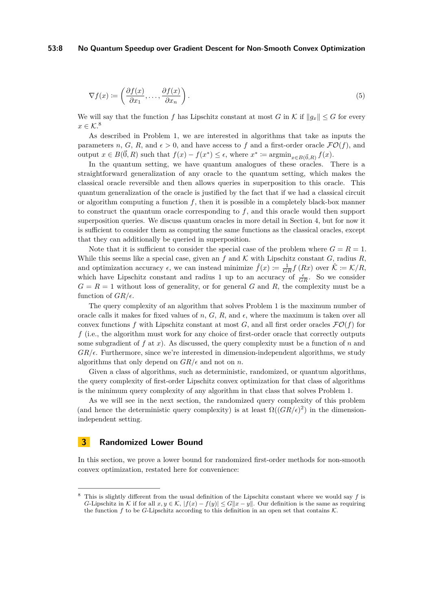#### **53:8 No Quantum Speedup over Gradient Descent for Non-Smooth Convex Optimization**

$$
\nabla f(x) := \left(\frac{\partial f(x)}{\partial x_1}, \dots, \frac{\partial f(x)}{\partial x_n}\right).
$$
\n(5)

We will say that the function *f* has Lipschitz constant at most *G* in  $K$  if  $||g_x|| \leq G$  for every  $x \in \mathcal{K}.8$  $x \in \mathcal{K}.8$ 

As described in Problem [1,](#page-2-3) we are interested in algorithms that take as inputs the parameters *n*, *G*, *R*, and  $\epsilon > 0$ , and have access to *f* and a first-order oracle  $\mathcal{FO}(f)$ , and output  $x \in B(\vec{0}, R)$  such that  $f(x) - f(x^*) \leq \epsilon$ , where  $x^* \coloneqq \operatorname{argmin}_{x \in B(\vec{0}, R)} f(x)$ .

In the quantum setting, we have quantum analogues of these oracles. There is a straightforward generalization of any oracle to the quantum setting, which makes the classical oracle reversible and then allows queries in superposition to this oracle. This quantum generalization of the oracle is justified by the fact that if we had a classical circuit or algorithm computing a function  $f$ , then it is possible in a completely black-box manner to construct the quantum oracle corresponding to *f*, and this oracle would then support superposition queries. We discuss quantum oracles in more detail in Section [4,](#page-10-1) but for now it is sufficient to consider them as computing the same functions as the classical oracles, except that they can additionally be queried in superposition.

Note that it is sufficient to consider the special case of the problem where  $G = R = 1$ . While this seems like a special case, given an  $f$  and  $K$  with Lipschitz constant  $G$ , radius  $R$ , and optimization accuracy  $\epsilon$ , we can instead minimize  $\hat{f}(x) \coloneqq \frac{1}{GR} f(Rx)$  over  $\hat{\mathcal{K}} \coloneqq \mathcal{K}/R$ , which have Lipschitz constant and radius 1 up to an accuracy of  $\frac{\epsilon}{GR}$ . So we consider  $G = R = 1$  without loss of generality, or for general *G* and *R*, the complexity must be a function of  $GR/\epsilon$ .

The query complexity of an algorithm that solves Problem [1](#page-2-3) is the maximum number of oracle calls it makes for fixed values of  $n, G, R$ , and  $\epsilon$ , where the maximum is taken over all convex functions f with Lipschitz constant at most  $G$ , and all first order oracles  $\mathcal{FO}(f)$  for *f* (i.e., the algorithm must work for any choice of first-order oracle that correctly outputs some subgradient of  $f$  at  $x$ ). As discussed, the query complexity must be a function of  $n$  and  $GR/\epsilon$ . Furthermore, since we're interested in dimension-independent algorithms, we study algorithms that only depend on  $GR/\epsilon$  and not on *n*.

Given a class of algorithms, such as deterministic, randomized, or quantum algorithms, the query complexity of first-order Lipschitz convex optimization for that class of algorithms is the minimum query complexity of any algorithm in that class that solves Problem [1.](#page-2-3)

As we will see in the next section, the randomized query complexity of this problem (and hence the deterministic query complexity) is at least  $\Omega((GR/\epsilon)^2)$  in the dimensionindependent setting.

## <span id="page-7-0"></span>**3 Randomized Lower Bound**

In this section, we prove a lower bound for randomized first-order methods for non-smooth convex optimization, restated here for convenience:

<span id="page-7-1"></span><sup>8</sup> This is slightly different from the usual definition of the Lipschitz constant where we would say *f* is *G*-Lipschitz in K if for all  $x, y \in K$ ,  $|f(x) - f(y)| \le G||x - y||$ . Our definition is the same as requiring the function  $f$  to be  $G$ -Lipschitz according to this definition in an open set that contains  $K$ .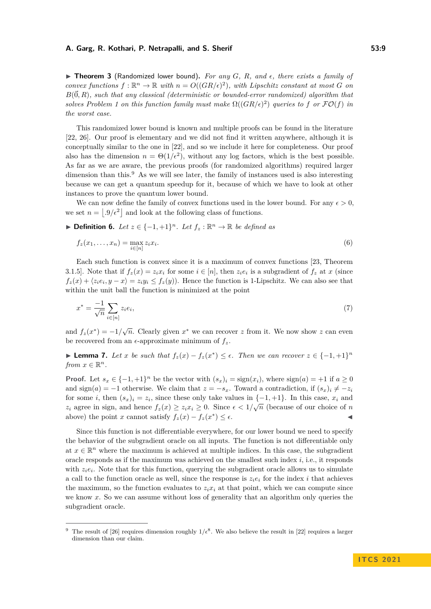$\triangleright$  **Theorem 3** (Randomized lower bound). For any G, R, and  $\epsilon$ , there exists a family of *convex functions*  $f: \mathbb{R}^n \to \mathbb{R}$  *with*  $n = O((GR/\epsilon)^2)$ *, with Lipschitz constant at most G on*  $B(\vec{0}, R)$ *, such that any classical (deterministic or bounded-error randomized) algorithm that solves Problem* [1](#page-2-3) on this function family must make  $\Omega((GR/\epsilon)^2)$  queries to f or  $\mathcal{FO}(f)$  in *the worst case.*

This randomized lower bound is known and multiple proofs can be found in the literature [\[22,](#page-19-1) [26\]](#page-19-10). Our proof is elementary and we did not find it written anywhere, although it is conceptually similar to the one in [\[22\]](#page-19-1), and so we include it here for completeness. Our proof also has the dimension  $n = \Theta(1/\epsilon^2)$ , without any log factors, which is the best possible. As far as we are aware, the previous proofs (for randomized algorithms) required larger dimension than this. $9$  As we will see later, the family of instances used is also interesting because we can get a quantum speedup for it, because of which we have to look at other instances to prove the quantum lower bound.

We can now define the family of convex functions used in the lower bound. For any  $\epsilon > 0$ , we set  $n = |0/\epsilon^2|$  and look at the following class of functions.

**► Definition 6.** Let  $z \in \{-1, +1\}^n$ . Let  $f_z : \mathbb{R}^n \to \mathbb{R}$  be defined as

$$
f_z(x_1,\ldots,x_n) = \max_{i \in [n]} z_i x_i.
$$
\n
$$
(6)
$$

Each such function is convex since it is a maximum of convex functions [\[23,](#page-19-2) Theorem 3.1.5. Note that if  $f_z(x) = z_i x_i$  for some  $i \in [n]$ , then  $z_i e_i$  is a subgradient of  $f_z$  at  $x$  (since  $f_z(x) + \langle z_i e_i, y - x \rangle = z_i y_i \le f_z(y)$ . Hence the function is 1-Lipschitz. We can also see that within the unit ball the function is minimized at the point

$$
x^* = \frac{-1}{\sqrt{n}} \sum_{i \in [n]} z_i e_i,\tag{7}
$$

and  $f_z(x^*) = -1/\sqrt{n}$ . Clearly given  $x^*$  we can recover *z* from it. We now show *z* can even be recovered from an  $\epsilon$ -approximate minimum of  $f_z$ .

<span id="page-8-1"></span>► **Lemma 7.** *Let x be such that*  $f_z(x) - f_z(x^*) \leq \epsilon$ . *Then we can recover*  $z \in \{-1, +1\}^n$ *from*  $x \in \mathbb{R}^n$ .

**Proof.** Let  $s_x \in \{-1, +1\}^n$  be the vector with  $(s_x)_i = \text{sign}(x_i)$ , where  $\text{sign}(a) = +1$  if  $a \ge 0$ and sign(*a*) = −1 otherwise. We claim that  $z = -s_x$ . Toward a contradiction, if  $(s_x)_i \neq -z_i$ for some *i*, then  $(s_x)_i = z_i$ , since these only take values in  $\{-1, +1\}$ . In this case,  $x_i$  and *z*<sub>*i*</sub> agree in sign, and hence  $f_z(x) \geq z_i x_i \geq 0$ . Since  $\epsilon < 1/\sqrt{n}$  (because of our choice of *n* above) the point *x* cannot satisfy  $f_z(x) - f_z(x^*) \le \epsilon$ .

Since this function is not differentiable everywhere, for our lower bound we need to specify the behavior of the subgradient oracle on all inputs. The function is not differentiable only at  $x \in \mathbb{R}^n$  where the maximum is achieved at multiple indices. In this case, the subgradient oracle responds as if the maximum was achieved on the smallest such index *i*, i.e., it responds with  $z_i e_i$ . Note that for this function, querying the subgradient oracle allows us to simulate a call to the function oracle as well, since the response is  $z_i e_i$  for the index *i* that achieves the maximum, so the function evaluates to  $z_i x_i$  at that point, which we can compute since we know x. So we can assume without loss of generality that an algorithm only queries the subgradient oracle.

<span id="page-8-0"></span><sup>&</sup>lt;sup>9</sup> The result of [\[26\]](#page-19-10) requires dimension roughly  $1/\epsilon^8$ . We also believe the result in [\[22\]](#page-19-1) requires a larger dimension than our claim.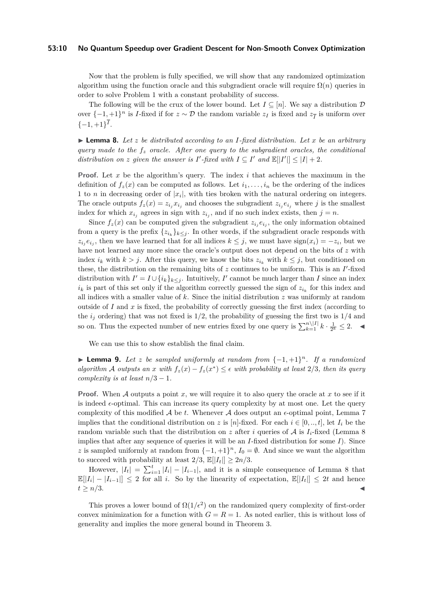#### **53:10 No Quantum Speedup over Gradient Descent for Non-Smooth Convex Optimization**

Now that the problem is fully specified, we will show that any randomized optimization algorithm using the function oracle and this subgradient oracle will require  $\Omega(n)$  queries in order to solve Problem [1](#page-2-3) with a constant probability of success.

The following will be the crux of the lower bound. Let  $I \subseteq [n]$ . We say a distribution  $\mathcal D$ over  $\{-1, +1\}^n$  is *I*-fixed if for  $z \sim \mathcal{D}$  the random variable  $z_I$  is fixed and  $z_{\overline{I}}$  is uniform over  $\{-1,+1\}^I$ .

<span id="page-9-0"></span> $\blacktriangleright$  **Lemma 8.** Let *z* be distributed according to an *I*-fixed distribution. Let *x* be an arbitrary *query made to the f<sup>z</sup> oracle. After one query to the subgradient oracles, the conditional distribution on z* given the answer is  $I'$ -fixed with  $I \subseteq I'$  and  $\mathbb{E}[|I'|] \leq |I| + 2$ .

**Proof.** Let *x* be the algorithm's query. The index *i* that achieves the maximum in the definition of  $f_z(x)$  can be computed as follows. Let  $i_1, \ldots, i_n$  be the ordering of the indices 1 to *n* in decreasing order of  $|x_i|$ , with ties broken with the natural ordering on integers. The oracle outputs  $f_z(x) = z_{i_j} x_{i_j}$  and chooses the subgradient  $z_{i_j} e_{i_j}$  where *j* is the smallest index for which  $x_{i_j}$  agrees in sign with  $z_{i_j}$ , and if no such index exists, then  $j = n$ .

Since  $f_z(x)$  can be computed given the subgradient  $z_{i_j}e_{i_j}$ , the only information obtained from a query is the prefix  $\{z_{i_k}\}_{k\leq j}$ . In other words, if the subgradient oracle responds with  $z_i$ <sup>*j*</sup> $e_i$ <sup>*j*</sup>, then we have learned that for all indices  $k \leq j$ , we must have sign(*x<sub>i</sub>*) = −*z<sub>i</sub>*, but we have not learned any more since the oracle's output does not depend on the bits of *z* with index  $i_k$  with  $k > j$ . After this query, we know the bits  $z_{i_k}$  with  $k \leq j$ , but conditioned on these, the distribution on the remaining bits of  $z$  continues to be uniform. This is an  $I'$ -fixed distribution with  $I' = I \cup \{i_k\}_{k \leq j}$ . Intuitively, *I*' cannot be much larger than *I* since an index  $i_k$  is part of this set only if the algorithm correctly guessed the sign of  $z_{i_k}$  for this index and all indices with a smaller value of *k*. Since the initial distribution *z* was uniformly at random outside of  $I$  and  $x$  is fixed, the probability of correctly guessing the first index (according to the  $i_j$  ordering) that was not fixed is  $1/2$ , the probability of guessing the first two is  $1/4$  and so on. Thus the expected number of new entries fixed by one query is  $\sum_{k=1}^{n} |I| k \cdot \frac{1}{2^k} \leq 2$ .

We can use this to show establish the final claim.

**► Lemma 9.** Let *z* be sampled uniformly at random from  $\{-1, +1\}^n$ . If a randomized *algorithm* A *outputs* an *x* with  $f_z(x) - f_z(x^*) \leq \epsilon$  with probability at least 2/3*, then its query complexity is at least*  $n/3 - 1$ *.* 

**Proof.** When A outputs a point x, we will require it to also query the oracle at x to see if it is indeed  $\epsilon$ -optimal. This can increase its query complexity by at most one. Let the query complexity of this modified  $A$  be  $t$ . Whenever  $A$  does output an  $\epsilon$ -optimal point, Lemma [7](#page-8-1) implies that the conditional distribution on *z* is [*n*]-fixed. For each  $i \in [0, ..., t]$ , let  $I_i$  be the random variable such that the distribution on  $z$  after  $i$  queries of  $A$  is  $I_i$ -fixed (Lemma [8](#page-9-0)) implies that after any sequence of queries it will be an *I*-fixed distribution for some *I*). Since *z* is sampled uniformly at random from  $\{-1, +1\}^n$ ,  $I_0 = \emptyset$ . And since we want the algorithm to succeed with probability at least  $2/3$ ,  $\mathbb{E}[|I_t|] \geq 2n/3$ .

However,  $|I_t| = \sum_{i=1}^t |I_i| - |I_{i-1}|$ , and it is a simple consequence of Lemma [8](#page-9-0) that  $\mathbb{E}[|I_i| - |I_{i-1}|] \leq 2$  for all *i*. So by the linearity of expectation,  $\mathbb{E}[|I_t|] \leq 2t$  and hence  $t \geq n/3$ .

This proves a lower bound of  $\Omega(1/\epsilon^2)$  on the randomized query complexity of first-order convex minimization for a function with  $G = R = 1$ . As noted earlier, this is without loss of generality and implies the more general bound in Theorem [3.](#page-3-3)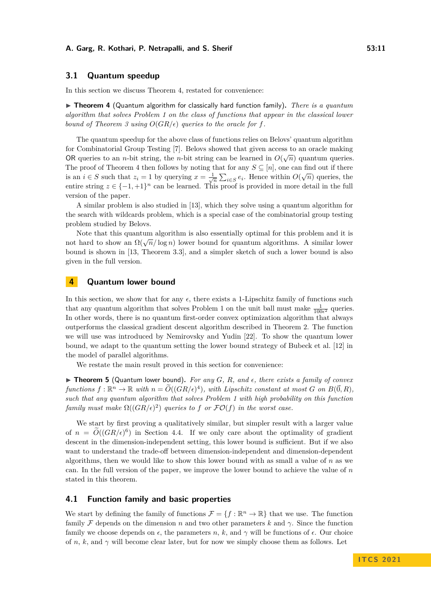## <span id="page-10-0"></span>**3.1 Quantum speedup**

In this section we discuss Theorem [4,](#page-4-0) restated for convenience:

▶ Theorem 4 (Quantum algorithm for classically hard function family). *There is a quantum algorithm that solves Problem [1](#page-2-3) on the class of functions that appear in the classical lower bound of Theorem [3](#page-3-3) using*  $O(GR/\epsilon)$  *queries to the oracle for f.* 

The quantum speedup for the above class of functions relies on Belovs' quantum algorithm for Combinatorial Group Testing [\[7\]](#page-18-2). Belovs showed that given access to an oracle making OR queries to an *n*-bit string, the *n*-bit string can be learned in  $O(\sqrt{n})$  quantum queries. The proof of Theorem [4](#page-4-0) then follows by noting that for any  $S \subseteq [n]$ , one can find out if there is an *i* ∈ *S* such that  $z_i = 1$  by querying  $x = \frac{1}{\sqrt{n}} \sum_{i \in S} e_i$ . Hence within  $O(\sqrt{n})$  queries, the entire string  $z \in \{-1, +1\}^n$  can be learned. This proof is provided in more detail in the full version of the paper.

A similar problem is also studied in [\[13\]](#page-19-9), which they solve using a quantum algorithm for the search with wildcards problem, which is a special case of the combinatorial group testing problem studied by Belovs.

Note that this quantum algorithm is also essentially optimal for this problem and it is note that this quantum algorithm is also essentially optimal for this problem and it is<br>not hard to show an  $\Omega(\sqrt{n}/\log n)$  lower bound for quantum algorithms. A similar lower bound is shown in [\[13,](#page-19-9) Theorem 3.3], and a simpler sketch of such a lower bound is also given in the full version.

# <span id="page-10-1"></span>**4 Quantum lower bound**

In this section, we show that for any  $\epsilon$ , there exists a 1-Lipschitz family of functions such that any quantum algorithm that solves Problem [1](#page-2-3) on the unit ball must make  $\frac{1}{100\epsilon^2}$  queries. In other words, there is no quantum first-order convex optimization algorithm that always outperforms the classical gradient descent algorithm described in Theorem [2.](#page-3-1) The function we will use was introduced by Nemirovsky and Yudin [\[22\]](#page-19-1). To show the quantum lower bound, we adapt to the quantum setting the lower bound strategy of Bubeck et al. [\[12\]](#page-19-11) in the model of parallel algorithms.

We restate the main result proved in this section for convenience:

 $\triangleright$  **Theorem 5** (Quantum lower bound). For any G, R, and  $\epsilon$ , there exists a family of convex  $f$ unctions  $f: \mathbb{R}^n \to \mathbb{R}$  with  $n = \widetilde{O}((GR/\epsilon)^4)$ , with Lipschitz constant at most  $G$  on  $B(\vec{0}, R)$ , *such that any quantum algorithm that solves Problem [1](#page-2-3) with high probability on this function family must make*  $\Omega((GR/\epsilon)^2)$  *queries to f or*  $\mathcal{FO}(f)$  *in the worst case.* 

We start by first proving a qualitatively similar, but simpler result with a larger value of  $n = O((GR/\epsilon)^6)$  in Section [4.4.](#page-15-0) If we only care about the optimality of gradient descent in the dimension-independent setting, this lower bound is sufficient. But if we also want to understand the trade-off between dimension-independent and dimension-dependent algorithms, then we would like to show this lower bound with as small a value of *n* as we can. In the full version of the paper, we improve the lower bound to achieve the value of *n* stated in this theorem.

## **4.1 Function family and basic properties**

We start by defining the family of functions  $\mathcal{F} = \{f : \mathbb{R}^n \to \mathbb{R}\}\$  that we use. The function family F depends on the dimension *n* and two other parameters *k* and  $\gamma$ . Since the function family we choose depends on  $\epsilon$ , the parameters *n*, *k*, and  $\gamma$  will be functions of  $\epsilon$ . Our choice of *n*, *k*, and  $\gamma$  will become clear later, but for now we simply choose them as follows. Let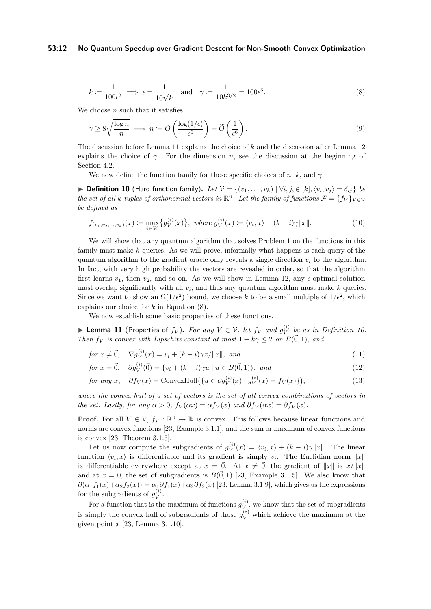#### **53:12 No Quantum Speedup over Gradient Descent for Non-Smooth Convex Optimization**

<span id="page-11-1"></span>
$$
k \coloneqq \frac{1}{100\epsilon^2} \implies \epsilon = \frac{1}{10\sqrt{k}} \quad \text{and} \quad \gamma \coloneqq \frac{1}{10k^{3/2}} = 100\epsilon^3. \tag{8}
$$

We choose *n* such that it satisfies

<span id="page-11-3"></span>
$$
\gamma \ge 8\sqrt{\frac{\log n}{n}} \implies n := O\left(\frac{\log(1/\epsilon)}{\epsilon^6}\right) = \widetilde{O}\left(\frac{1}{\epsilon^6}\right). \tag{9}
$$

The discussion before Lemma [11](#page-11-0) explains the choice of *k* and the discussion after Lemma [12](#page-12-0) explains the choice of  $\gamma$ . For the dimension *n*, see the discussion at the beginning of Section [4.2.](#page-12-1)

We now define the function family for these specific choices of *n*, *k*, and  $\gamma$ .

<span id="page-11-2"></span>▶ **Definition 10** (Hard function family). Let  $V = \{(v_1, \ldots, v_k) | \forall i, j, \in [k], \langle v_i, v_j \rangle = \delta_{ij}\}\)$ *the set of all k-tuples of orthonormal vectors in*  $\mathbb{R}^n$ *. Let the family of functions*  $\mathcal{F} = \{f_V\}_{V \in V}$ *be defined as*

$$
f_{(v_1, v_2, \dots, v_k)}(x) := \max_{i \in [k]} \{ g_V^{(i)}(x) \}, \text{ where } g_V^{(i)}(x) := \langle v_i, x \rangle + (k - i)\gamma \|x\|.
$$
 (10)

We will show that any quantum algorithm that solves Problem [1](#page-2-3) on the functions in this family must make *k* queries. As we will prove, informally what happens is each query of the quantum algorithm to the gradient oracle only reveals a single direction  $v_i$  to the algorithm. In fact, with very high probability the vectors are revealed in order, so that the algorithm first learns  $v_1$ , then  $v_2$ , and so on. As we will show in Lemma [12,](#page-12-0) any  $\epsilon$ -optimal solution must overlap significantly with all *v<sup>i</sup>* , and thus any quantum algorithm must make *k* queries. Since we want to show an  $\Omega(1/\epsilon^2)$  bound, we choose k to be a small multiple of  $1/\epsilon^2$ , which explains our choice for *k* in Equation [\(8\)](#page-11-1).

We now establish some basic properties of these functions.

<span id="page-11-0"></span>▶ Lemma 11 (Properties of  $f_V$ ). For any  $V ∈ V$ , let  $f_V$  and  $g_V^{(i)}$  $V^{(i)}$  be as in Definition [10.](#page-11-2) *Then f<sub>V</sub> is convex with Lipschitz constant at most*  $1 + k\gamma \leq 2$  *on*  $B(\vec{0}, 1)$ *, and* 

$$
for x \neq \vec{0}, \quad \nabla g_V^{(i)}(x) = v_i + (k-i)\gamma x / ||x||, \text{ and}
$$
\n
$$
(11)
$$

$$
for x = \vec{0}, \quad \partial g_V^{(i)}(\vec{0}) = \{v_i + (k - i)\gamma u \mid u \in B(\vec{0}, 1)\}, \text{ and}
$$
\n(12)

$$
for any x, \quad \partial f_V(x) = \text{ConvexHull}(\{u \in \partial g_V^{(i)}(x) \mid g_V^{(i)}(x) = f_V(x)\}),\tag{13}
$$

*where the convex hull of a set of vectors is the set of all convex combinations of vectors in the set. Lastly, for any*  $\alpha > 0$ *,*  $f_V(\alpha x) = \alpha f_V(x)$  *and*  $\partial f_V(\alpha x) = \partial f_V(x)$ *.* 

**Proof.** For all  $V \in V$ ,  $f_V : \mathbb{R}^n \to \mathbb{R}$  is convex. This follows because linear functions and norms are convex functions [\[23,](#page-19-2) Example 3.1.1], and the sum or maximum of convex functions is convex [\[23,](#page-19-2) Theorem 3.1.5].

Let us now compute the subgradients of  $g_V^{(i)}$  $V_V^{(i)}(x) = \langle v_i, x \rangle + (k - i)\gamma \|x\|.$  The linear function  $\langle v_i, x \rangle$  is differentiable and its gradient is simply  $v_i$ . The Euclidian norm  $||x||$ is differentiable everywhere except at  $x = \vec{0}$ . At  $x \neq \vec{0}$ , the gradient of  $||x||$  is  $x/||x||$ and at  $x = 0$ , the set of subgradients is  $B(\vec{0}, 1)$  [\[23,](#page-19-2) Example 3.1.5]. We also know that  $\partial(\alpha_1 f_1(x) + \alpha_2 f_2(x)) = \alpha_1 \partial f_1(x) + \alpha_2 \partial f_2(x)$  [\[23,](#page-19-2) Lemma 3.1.9], which gives us the expressions for the subgradients of  $g_V^{(i)}$  $V^{(i)}$ .

For a function that is the maximum of functions  $g_V^{(i)}$  $V(V)$ , we know that the set of subgradients is simply the convex hull of subgradients of those  $g_V^{(i)}$  which achieve the maximum at the given point *x* [\[23,](#page-19-2) Lemma 3.1.10].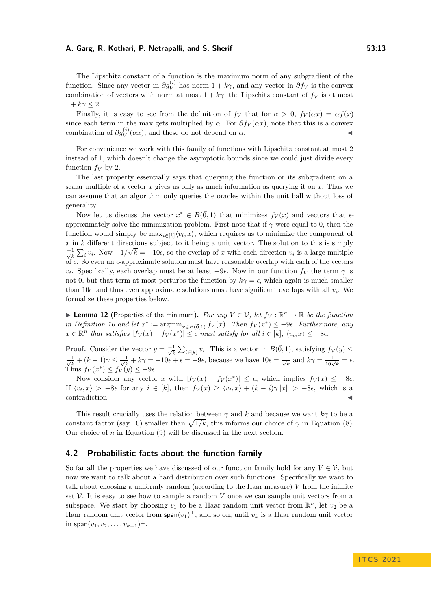The Lipschitz constant of a function is the maximum norm of any subgradient of the function. Since any vector in  $\partial g_V^{(i)}$  has norm  $1 + k\gamma$ , and any vector in  $\partial f_V$  is the convex combination of vectors with norm at most  $1 + k\gamma$ , the Lipschitz constant of  $f_V$  is at most  $1 + k\gamma \leq 2$ .

Finally, it is easy to see from the definition of  $f_V$  that for  $\alpha > 0$ ,  $f_V(\alpha x) = \alpha f(x)$ since each term in the max gets multiplied by  $\alpha$ . For  $\partial f_V(\alpha x)$ , note that this is a convex combination of  $\partial g_V^{(i)}(\alpha x)$ , and these do not depend on  $\alpha$ .

For convenience we work with this family of functions with Lipschitz constant at most 2 instead of 1, which doesn't change the asymptotic bounds since we could just divide every function  $f_V$  by 2.

The last property essentially says that querying the function or its subgradient on a scalar multiple of a vector  $x$  gives us only as much information as querying it on  $x$ . Thus we can assume that an algorithm only queries the oracles within the unit ball without loss of generality.

Now let us discuss the vector  $x^* \in B(\vec{0}, 1)$  that minimizes  $f_V(x)$  and vectors that  $\epsilon$ approximately solve the minimization problem. First note that if *γ* were equal to 0, then the function would simply be  $\max_{i\in[k]}\langle v_i, x\rangle$ , which requires us to minimize the component of  $x$  in  $k$  different directions subject to it being a unit vector. The solution to this is simply  $\frac{-1}{\sqrt{k}}\sum_{i} v_i$ . Now  $-1/\sqrt{k} = -10\epsilon$ , so the overlap of *x* with each direction  $v_i$  is a large multiple of  $\epsilon$ . So even an  $\epsilon$ -approximate solution must have reasonable overlap with each of the vectors *v*<sub>*i*</sub>. Specifically, each overlap must be at least  $-9\epsilon$ . Now in our function  $f_V$  the term  $\gamma$  is not 0, but that term at most perturbs the function by  $k\gamma = \epsilon$ , which again is much smaller than 10 $\epsilon$ , and thus even approximate solutions must have significant overlaps with all  $v_i$ . We formalize these properties below.

<span id="page-12-0"></span>**I Lemma 12** (Properties of the minimum). For any  $V \in V$ , let  $f_V : \mathbb{R}^n \to \mathbb{R}$  be the function *in Definition* [10](#page-11-2) and let  $x^* := \operatorname{argmin}_{x \in B(\vec{0},1)} f_V(x)$ . Then  $f_V(x^*) \leq -9\epsilon$ . Furthermore, any  $x \in \mathbb{R}^n$  *that satisfies*  $|f_V(x) - f_V(x^*)| \leq \epsilon$  *must satisfy for all*  $i \in [k]$ *,*  $\langle v_i, x \rangle \leq -8\epsilon$ *.* 

**Proof.** Consider the vector  $y = \frac{-1}{\sqrt{k}} \sum_{i \in [k]} v_i$ . This is a vector in  $B(\vec{0}, 1)$ , satisfying  $f_V(y) \le$  $\frac{-1}{\sqrt{k}} + (k-1)\gamma \leq \frac{-1}{\sqrt{k}} + k\gamma = -10\epsilon + \epsilon = -9\epsilon$ , because we have  $10\epsilon = \frac{1}{\sqrt{k}}$  $\frac{1}{\overline{k}}$  and  $k\gamma = \frac{1}{10\sqrt{k}} = \epsilon$ . Thus  $f_V(x^*) \leq f_V(y) \leq -9\epsilon$ .

Now consider any vector *x* with  $|f_V(x) - f_V(x^*)| \leq \epsilon$ , which implies  $f_V(x) \leq -8\epsilon$ . If  $\langle v_i, x \rangle > -8\epsilon$  for any  $i \in [k]$ , then  $f_V(x) \ge \langle v_i, x \rangle + (k-i)\gamma ||x|| > -8\epsilon$ , which is a contradiction.

This result crucially uses the relation between  $\gamma$  and *k* and because we want  $k\gamma$  to be a constant factor (say 10) smaller than  $\sqrt{1/k}$ , this informs our choice of  $\gamma$  in Equation [\(8\)](#page-11-1). Our choice of  $n$  in Equation  $(9)$  will be discussed in the next section.

#### <span id="page-12-1"></span>**4.2 Probabilistic facts about the function family**

So far all the properties we have discussed of our function family hold for any  $V \in \mathcal{V}$ , but now we want to talk about a hard distribution over such functions. Specifically we want to talk about choosing a uniformly random (according to the Haar measure) *V* from the infinite set  $\mathcal V$ . It is easy to see how to sample a random  $V$  once we can sample unit vectors from a subspace. We start by choosing  $v_1$  to be a Haar random unit vector from  $\mathbb{R}^n$ , let  $v_2$  be a Haar random unit vector from  $\text{span}(v_1)^\perp$ , and so on, until  $v_k$  is a Haar random unit vector  $\text{in span}(v_1, v_2, \ldots, v_{k-1})^{\perp}.$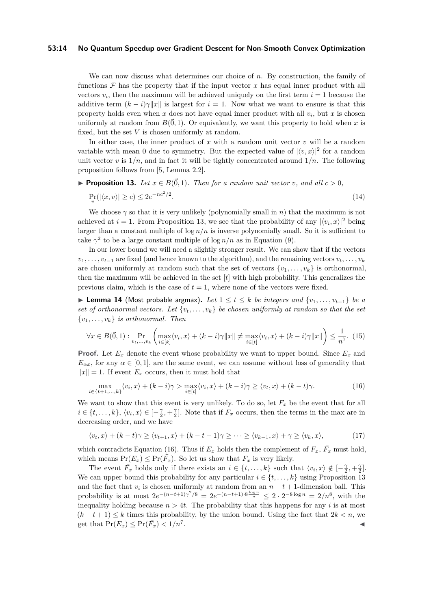#### **53:14 No Quantum Speedup over Gradient Descent for Non-Smooth Convex Optimization**

We can now discuss what determines our choice of *n*. By construction, the family of functions  $\mathcal F$  has the property that if the input vector  $x$  has equal inner product with all vectors  $v_i$ , then the maximum will be achieved uniquely on the first term  $i = 1$  because the additive term  $(k - i)\gamma ||x||$  is largest for  $i = 1$ . Now what we want to ensure is that this property holds even when  $x$  does not have equal inner product with all  $v_i$ , but  $x$  is chosen uniformly at random from  $B(\vec{0},1)$ . Or equivalently, we want this property to hold when x is fixed, but the set *V* is chosen uniformly at random.

In either case, the inner product of *x* with a random unit vector *v* will be a random variable with mean 0 due to symmetry. But the expected value of  $|\langle v, x \rangle|^2$  for a random unit vector  $v$  is  $1/n$ , and in fact it will be tightly concentrated around  $1/n$ . The following proposition follows from [\[5,](#page-18-8) Lemma 2.2].

<span id="page-13-0"></span>
$$
\blacktriangleright
$$
 Proposition 13. Let  $x \in B(\vec{0},1)$ . Then for a random unit vector  $v$ , and all  $c > 0$ ,

$$
\Pr_v(|\langle x, v \rangle| \ge c) \le 2e^{-nc^2/2}.\tag{14}
$$

We choose *γ* so that it is very unlikely (polynomially small in *n*) that the maximum is not achieved at  $i = 1$ . From Proposition [13,](#page-13-0) we see that the probability of any  $|\langle v_i, x \rangle|^2$  being larger than a constant multiple of  $\log n/n$  is inverse polynomially small. So it is sufficient to take  $\gamma^2$  to be a large constant multiple of  $\log n/n$  as in Equation [\(9\)](#page-11-3).

In our lower bound we will need a slightly stronger result. We can show that if the vectors  $v_1, \ldots, v_{t-1}$  are fixed (and hence known to the algorithm), and the remaining vectors  $v_t, \ldots, v_k$ are chosen uniformly at random such that the set of vectors  $\{v_1, \ldots, v_k\}$  is orthonormal, then the maximum will be achieved in the set [*t*] with high probability. This generalizes the previous claim, which is the case of  $t = 1$ , where none of the vectors were fixed.

<span id="page-13-2"></span>**► Lemma 14** (Most probable argmax). Let  $1 \le t \le k$  be integers and  $\{v_1, \ldots, v_{t-1}\}$  be a *set of orthonormal vectors. Let*  $\{v_t, \ldots, v_k\}$  *be chosen uniformly at random so that the set*  $\{v_1, \ldots, v_k\}$  *is orthonormal. Then* 

$$
\forall x \in B(\vec{0},1): \Pr_{v_t,\ldots,v_k} \left( \max_{i \in [k]} \langle v_i, x \rangle + (k-i)\gamma \|x\| \neq \max_{i \in [t]} \langle v_i, x \rangle + (k-i)\gamma \|x\| \right) \leq \frac{1}{n^7}.\tag{15}
$$

**Proof.** Let  $E_x$  denote the event whose probability we want to upper bound. Since  $E_x$  and  $E_{\alpha x}$ , for any  $\alpha \in [0,1]$ , are the same event, we can assume without loss of generality that  $||x|| = 1$ . If event  $E_x$  occurs, then it must hold that

<span id="page-13-1"></span>
$$
\max_{i \in \{t+1,\dots,k\}} \langle v_i, x \rangle + (k-i)\gamma > \max_{i \in [t]} \langle v_i, x \rangle + (k-i)\gamma \ge \langle v_t, x \rangle + (k-t)\gamma. \tag{16}
$$

We want to show that this event is very unlikely. To do so, let  $F_x$  be the event that for all  $i \in \{t, \ldots, k\}, \langle v_i, x \rangle \in [-\frac{\gamma}{2}, +\frac{\gamma}{2}]$ . Note that if  $F_x$  occurs, then the terms in the max are in decreasing order, and we have

$$
\langle v_t, x \rangle + (k - t)\gamma \ge \langle v_{t+1}, x \rangle + (k - t - 1)\gamma \ge \cdots \ge \langle v_{k-1}, x \rangle + \gamma \ge \langle v_k, x \rangle, \tag{17}
$$

which contradicts Equation [\(16\)](#page-13-1). Thus if  $E_x$  holds then the complement of  $F_x$ ,  $\bar{F_x}$  must hold, which means  $Pr(E_x) \leq Pr(F_x)$ . So let us show that  $F_x$  is very likely.

The event  $\overline{F}_x$  holds only if there exists an  $i \in \{t, ..., k\}$  such that  $\langle v_i, x \rangle \notin [-\frac{\gamma}{2}, +\frac{\gamma}{2}]$ . We can upper bound this probability for any particular  $i \in \{t, \ldots, k\}$  using Proposition [13](#page-13-0) and the fact that  $v_i$  is chosen uniformly at random from an  $n - t + 1$ -dimension ball. This probability is at most  $2e^{-(n-t+1)\gamma^2/8} = 2e^{-(n-t+1)\cdot 8\frac{\log n}{n}} \leq 2 \cdot 2^{-8\log n} = 2/n^8$ , with the inequality holding because  $n > 4t$ . The probability that this happens for any *i* is at most  $(k-t+1) \leq k$  times this probability, by the union bound. Using the fact that  $2k < n$ , we get that  $Pr(E_x) \le Pr(\bar{F}_x) < 1/n^7$ . J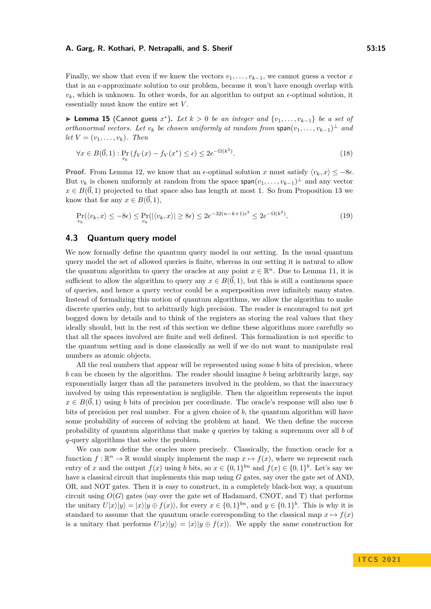Finally, we show that even if we knew the vectors  $v_1, \ldots, v_{k-1}$ , we cannot guess a vector *x* that is an  $\epsilon$ -approximate solution to our problem, because it won't have enough overlap with  $v_k$ , which is unknown. In other words, for an algorithm to output an  $\epsilon$ -optimal solution, it essentially must know the entire set *V* .

<span id="page-14-0"></span>▶ **Lemma 15** (Cannot guess  $x^*$ ). Let  $k > 0$  be an integer and  $\{v_1, \ldots, v_{k-1}\}$  be a set of *orthonormal vectors. Let*  $v_k$  *be chosen uniformly at random from*  $\text{span}(v_1, \ldots, v_{k-1})^{\perp}$  *and*  $let V = (v_1, \ldots, v_k)$ *. Then* 

$$
\forall x \in B(\vec{0},1) : \Pr_{v_k} \left( f_V(x) - f_V(x^*) \le \epsilon \right) \le 2e^{-\Omega(k^2)}.
$$
\n
$$
(18)
$$

**Proof.** From Lemma [12,](#page-12-0) we know that an  $\epsilon$ -optimal solution *x* must satisfy  $\langle v_k, x \rangle \leq -8\epsilon$ . But  $v_k$  is chosen uniformly at random from the space  $\text{span}(v_1, \ldots, v_{k-1})^{\perp}$  and any vector  $x \in B(\vec{0}, 1)$  projected to that space also has length at most 1. So from Proposition [13](#page-13-0) we know that for any  $x \in B(\vec{0}, 1)$ ,

$$
\Pr_{v_k}(\langle v_k, x \rangle \le -8\epsilon) \le \Pr_{v_k}(|\langle v_k, x \rangle| \ge 8\epsilon) \le 2e^{-32(n-k+1)\epsilon^2} \le 2e^{-\Omega(k^2)}.
$$
\n(19)

## **4.3 Quantum query model**

We now formally define the quantum query model in our setting. In the usual quantum query model the set of allowed queries is finite, whereas in our setting it is natural to allow the quantum algorithm to query the oracles at any point  $x \in \mathbb{R}^n$ . Due to Lemma [11,](#page-11-0) it is sufficient to allow the algorithm to query any  $x \in B(\vec{0}, 1)$ , but this is still a continuous space of queries, and hence a query vector could be a superposition over infinitely many states. Instead of formalizing this notion of quantum algorithms, we allow the algorithm to make discrete queries only, but to arbitrarily high precision. The reader is encouraged to not get bogged down by details and to think of the registers as storing the real values that they ideally should, but in the rest of this section we define these algorithms more carefully so that all the spaces involved are finite and well defined. This formalization is not specific to the quantum setting and is done classically as well if we do not want to manipulate real numbers as atomic objects.

All the real numbers that appear will be represented using some *b* bits of precision, where *b* can be chosen by the algorithm. The reader should imagine *b* being arbitrarily large, say exponentially larger than all the parameters involved in the problem, so that the inaccuracy involved by using this representation is negligible. Then the algorithm represents the input  $x \in B(\vec{0}, 1)$  using *b* bits of precision per coordinate. The oracle's response will also use *b* bits of precision per real number. For a given choice of *b*, the quantum algorithm will have some probability of success of solving the problem at hand. We then define the success probability of quantum algorithms that make *q* queries by taking a supremum over all *b* of *q*-query algorithms that solve the problem.

We can now define the oracles more precisely. Classically, the function oracle for a function  $f: \mathbb{R}^n \to \mathbb{R}$  would simply implement the map  $x \mapsto f(x)$ , where we represent each entry of *x* and the output  $f(x)$  using *b* bits, so  $x \in \{0,1\}^{bn}$  and  $f(x) \in \{0,1\}^b$ . Let's say we have a classical circuit that implements this map using *G* gates, say over the gate set of AND, OR, and NOT gates. Then it is easy to construct, in a completely black-box way, a quantum circuit using  $O(G)$  gates (say over the gate set of Hadamard, CNOT, and T) that performs the unitary  $U|x\rangle|y\rangle = |x\rangle|y \oplus f(x)\rangle$ , for every  $x \in \{0,1\}^{bn}$ , and  $y \in \{0,1\}^b$ . This is why it is standard to assume that the quantum oracle corresponding to the classical map  $x \mapsto f(x)$ is a unitary that performs  $U|x\rangle|y\rangle = |x\rangle|y \oplus f(x)\rangle$ . We apply the same construction for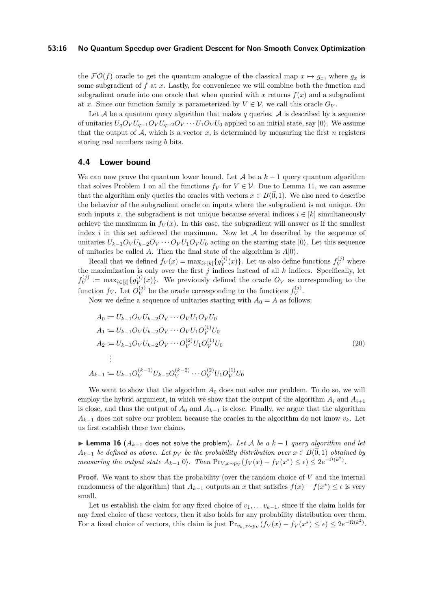#### **53:16 No Quantum Speedup over Gradient Descent for Non-Smooth Convex Optimization**

the  $\mathcal{FO}(f)$  oracle to get the quantum analogue of the classical map  $x \mapsto q_x$ , where  $q_x$  is some subgradient of *f* at *x*. Lastly, for convenience we will combine both the function and subgradient oracle into one oracle that when queried with x returns  $f(x)$  and a subgradient at *x*. Since our function family is parameterized by  $V \in \mathcal{V}$ , we call this oracle  $O_V$ .

Let  $A$  be a quantum query algorithm that makes  $q$  queries.  $A$  is described by a sequence of unitaries  $U_qO_VU_{q-1}O_VU_{q-2}O_V\cdots U_1O_VU_0$  applied to an initial state, say  $|0\rangle$ . We assume that the output of  $A$ , which is a vector  $x$ , is determined by measuring the first  $n$  registers storing real numbers using *b* bits.

#### <span id="page-15-0"></span>**4.4 Lower bound**

We can now prove the quantum lower bound. Let  $A$  be a  $k-1$  query quantum algorithm that solves Problem [1](#page-2-3) on all the functions  $f_V$  for  $V \in \mathcal{V}$ . Due to Lemma [11,](#page-11-0) we can assume that the algorithm only queries the oracles with vectors  $x \in B(\vec{0}, 1)$ . We also need to describe the behavior of the subgradient oracle on inputs where the subgradient is not unique. On such inputs *x*, the subgradient is not unique because several indices  $i \in [k]$  simultaneously achieve the maximum in  $f_V(x)$ . In this case, the subgradient will answer as if the smallest index  $i$  in this set achieved the maximum. Now let  $A$  be described by the sequence of unitaries  $U_{k-1}O_VU_{k-2}O_V \cdots O_VU_1O_VU_0$  acting on the starting state  $|0\rangle$ . Let this sequence of unitaries be called *A*. Then the final state of the algorithm is  $A|0\rangle$ .

Recall that we defined  $f_V(x) = \max_{i \in [k]} \{g_V^{(i)}\}$  $V(V)(x)$ . Let us also define functions  $f_V^{(j)}$  where the maximization is only over the first  $j$  indices instead of all  $k$  indices. Specifically, let  $f_V^{(j)}$ *v*<sup>(*j*)</sup> := max<sub>*i*∈[*j*]</sub>{*g*<sup>(*i*)</sup>}  $V(V)(x)$ . We previously defined the oracle  $O_V$  as corresponding to the function  $f_V$ . Let  $O_V^{(j)}$  $V$  be the oracle corresponding to the functions  $f_V^{(j)}$  $V^{(J)}$ .

Now we define a sequence of unitaries starting with  $A_0 = A$  as follows:

<span id="page-15-1"></span>
$$
A_0 := U_{k-1}O_VU_{k-2}O_V \cdots O_VU_1O_VU_0
$$
  
\n
$$
A_1 := U_{k-1}O_VU_{k-2}O_V \cdots O_VU_1O_V^{(1)}U_0
$$
  
\n
$$
A_2 := U_{k-1}O_VU_{k-2}O_V \cdots O_V^{(2)}U_1O_V^{(1)}U_0
$$
  
\n
$$
\vdots
$$
  
\n
$$
A_{k-1} := U_{k-1}O_V^{(k-1)}U_{k-2}O_V^{(k-2)} \cdots O_V^{(2)}U_1O_V^{(1)}U_0
$$
  
\n(20)

We want to show that the algorithm  $A_0$  does not solve our problem. To do so, we will employ the hybrid argument, in which we show that the output of the algorithm  $A_i$  and  $A_{i+1}$ is close, and thus the output of  $A_0$  and  $A_{k-1}$  is close. Finally, we argue that the algorithm  $A_{k-1}$  does not solve our problem because the oracles in the algorithm do not know  $v_k$ . Let us first establish these two claims.

<span id="page-15-2"></span>**► Lemma 16** ( $A_{k-1}$  does not solve the problem). Let A be a  $k-1$  query algorithm and let *A*<sub>*k*−1</sub> *be defined as above. Let*  $p_V$  *be the probability distribution over*  $x \in B(\vec{0}, 1)$  *obtained by measuring the output state*  $A_{k-1}|0\rangle$ *. Then*  $Pr_{V,x \sim p_V}(f_V(x) - f_V(x^*) \leq \epsilon) \leq 2e^{-\Omega(k^2)}$ *.* 

**Proof.** We want to show that the probability (over the random choice of V and the internal randomness of the algorithm) that  $A_{k-1}$  outputs an *x* that satisfies  $f(x) - f(x^*) \leq \epsilon$  is very small.

Let us establish the claim for any fixed choice of  $v_1, \ldots, v_{k-1}$ , since if the claim holds for any fixed choice of these vectors, then it also holds for any probability distribution over them. For a fixed choice of vectors, this claim is just  $Pr_{v_k,x \sim p_V}(f_V(x) - f_V(x^*) \le \epsilon) \le 2e^{-\Omega(k^2)}$ .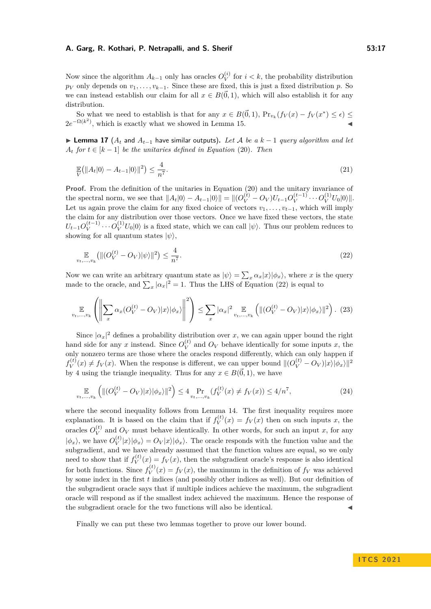Now since the algorithm  $A_{k-1}$  only has oracles  $O_V^{(i)}$  $V$ <sup>(*i*</sup>) for  $i < k$ , the probability distribution  $p_V$  only depends on  $v_1, \ldots, v_{k-1}$ . Since these are fixed, this is just a fixed distribution *p*. So we can instead establish our claim for all  $x \in B(\vec{0}, 1)$ , which will also establish it for any distribution.

So what we need to establish is that for any  $x \in B(\vec{0}, 1)$ ,  $Pr_{v_k}(f_V(x) - f_V(x^*) \leq \epsilon)$  $2e^{-\Omega(k^2)}$ , which is exactly what we showed in Lemma [15.](#page-14-0)

<span id="page-16-0"></span>**► Lemma 17** ( $A_t$  and  $A_{t-1}$  have similar outputs). Let A be a  $k-1$  query algorithm and let  $A_t$  *for*  $t \in [k-1]$  *be the unitaries defined in Equation* [\(20\)](#page-15-1)*. Then* 

$$
\mathbb{E}\left(\|A_t|0\rangle - A_{t-1}|0\rangle\|^2\right) \le \frac{4}{n^7}.\tag{21}
$$

**Proof.** From the definition of the unitaries in Equation [\(20\)](#page-15-1) and the unitary invariance of the spectral norm, we see that  $||A_t|0\rangle - A_{t-1}|0\rangle|| = ||(O_V^{(t)} - O_V)U_{t-1}O_V^{(t-1)}$  $V_V^{(t-1)} \cdots O_V^{(1)} U_0 |0\rangle$ ||. Let us again prove the claim for any fixed choice of vectors  $v_1, \ldots, v_{t-1}$ , which will imply the claim for any distribution over those vectors. Once we have fixed these vectors, the state  $U_{t-1}O_V^{(t-1)}$  $V_V^{(t-1)} \cdots O_V^{(1)} U_0 |0\rangle$  is a fixed state, which we can call  $|\psi\rangle$ . Thus our problem reduces to showing for all quantum states  $|\psi\rangle$ ,

<span id="page-16-1"></span>
$$
\mathop{\mathbb{E}}_{v_t, \dots, v_k} \left( \| (O_V^{(t)} - O_V) |\psi \rangle \|^2 \right) \le \frac{4}{n^7}.
$$
\n(22)

Now we can write an arbitrary quantum state as  $|\psi\rangle = \sum_{x} \alpha_x |x\rangle |\phi_x\rangle$ , where *x* is the query made to the oracle, and  $\sum_{x} |\alpha_x|^2 = 1$ . Thus the LHS of Equation [\(22\)](#page-16-1) is equal to

$$
\mathop{\mathbb{E}}_{v_t,\ldots,v_k} \left( \left\| \sum_x \alpha_x (O_V^{(t)} - O_V) |x\rangle |\phi_x\rangle \right\|^2 \right) \le \sum_x |\alpha_x|^2 \mathop{\mathbb{E}}_{v_t,\ldots,v_k} \left( \| (O_V^{(t)} - O_V) |x\rangle |\phi_x\rangle \|^2 \right). \tag{23}
$$

Since  $|\alpha_x|^2$  defines a probability distribution over *x*, we can again upper bound the right hand side for any *x* instead. Since  $O_V^{(t)}$  $V$ <sup>(t)</sup> and  $O_V$  behave identically for some inputs *x*, the only nonzero terms are those where the oracles respond differently, which can only happen if  $f_V^{(t)}$  $V_V^{(t)}(x) \neq f_V(x)$ . When the response is different, we can upper bound  $||(O_V^{(t)} - O_V)|x\rangle|\phi_x\rangle||^2$ by 4 using the triangle inequality. Thus for any  $x \in B(\vec{0}, 1)$ , we have

$$
\mathbb{E}_{v_t,\dots,v_k} \left( \| (O_V^{(t)} - O_V) |x\rangle |\phi_x\rangle \|^2 \right) \le 4 \Pr_{v_t,\dots,v_k} (f_V^{(t)}(x) \ne f_V(x)) \le 4/n^7,
$$
\n(24)

where the second inequality follows from Lemma [14.](#page-13-2) The first inequality requires more explanation. It is based on the claim that if  $f_V^{(t)}$  $V(V^{(t)}(x)) = f_V(x)$  then on such inputs *x*, the oracles  $O_V^{(t)}$  $V_V^{(t)}$  and  $O_V$  must behave identically. In other words, for such an input *x*, for any  $|\phi_x\rangle$ , we have  $O_V^{(t)}$  $\langle V \rangle \langle \psi_x | x \rangle \langle \phi_x | x \rangle \langle \phi_x | x \rangle$ . The oracle responds with the function value and the subgradient, and we have already assumed that the function values are equal, so we only need to show that if  $f_V^{(t)}$  $V(V)(x) = f_V(x)$ , then the subgradient oracle's response is also identical for both functions. Since  $f_V^{(t)}$  $V(V)(x) = f_V(x)$ , the maximum in the definition of  $f_V$  was achieved by some index in the first *t* indices (and possibly other indices as well). But our definition of the subgradient oracle says that if multiple indices achieve the maximum, the subgradient oracle will respond as if the smallest index achieved the maximum. Hence the response of the subgradient oracle for the two functions will also be identical.

Finally we can put these two lemmas together to prove our lower bound.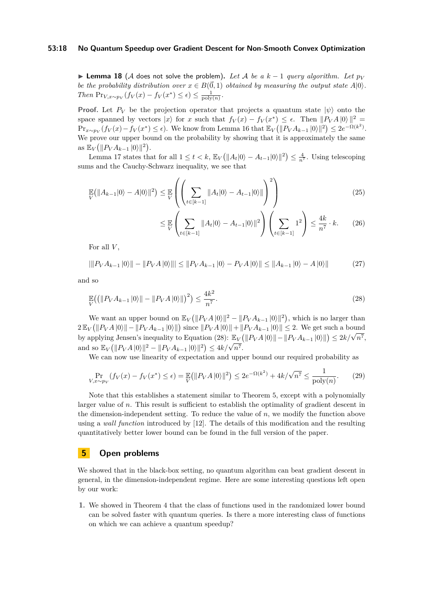#### **53:18 No Quantum Speedup over Gradient Descent for Non-Smooth Convex Optimization**

**► Lemma 18** (A does not solve the problem). Let A be a  $k-1$  query algorithm. Let  $p_V$ *be the probability distribution over*  $x \in B(\vec{0}, 1)$  *obtained by measuring the output state*  $A|0\rangle$ *. Then*  $\Pr_{V,x \sim p_V}(f_V(x) - f_V(x^*) \leq \epsilon) \leq \frac{1}{\text{poly}(n)}$ .

**Proof.** Let  $P_V$  be the projection operator that projects a quantum state  $|\psi\rangle$  onto the space spanned by vectors  $|x\rangle$  for *x* such that  $f_V(x) - f_V(x^*) \leq \epsilon$ . Then  $||P_V A|0\rangle||^2 =$  $Pr_{x \sim p_V}(f_V(x) - f_V(x^*) \le \epsilon)$ . We know from Lemma [16](#page-15-2) that  $\mathbb{E}_V(|P_V A_{k-1}|0\rangle||^2) \le 2e^{-\Omega(k^2)}$ . We prove our upper bound on the probability by showing that it is approximately the same as  $\mathbb{E}_V(\|P_V A_{k-1} |0\rangle\|^2)$ .

Lemma [17](#page-16-0) states that for all  $1 \le t < k$ ,  $\mathbb{E}_V(\|A_t|0\rangle - A_{t-1}|0\rangle\|^2) \le \frac{4}{n^7}$ . Using telescoping sums and the Cauchy-Schwarz inequality, we see that

$$
\mathbb{E}\left(\|A_{k-1}|0\rangle - A|0\rangle\|^2\right) \le \mathbb{E}\left(\left(\sum_{t \in [k-1]} \|A_t|0\rangle - A_{t-1}|0\rangle\|\right)^2\right) \tag{25}
$$

$$
\leq \mathbb{E}\left(\sum_{t\in[k-1]} \|A_t(0) - A_{t-1}(0)\|^2\right)\left(\sum_{t\in[k-1]} 1^2\right) \leq \frac{4k}{n^7} \cdot k. \tag{26}
$$

For all *V* ,

<span id="page-17-1"></span>
$$
|\|P_V A_{k-1} |0\rangle\| - \|P_V A |0\rangle\|| \le \|P_V A_{k-1} |0\rangle - P_V A |0\rangle\| \le \|A_{k-1} |0\rangle - A |0\rangle\| \tag{27}
$$

and so

$$
\mathbb{E}_{V}((\|P_V A_{k-1} |0\rangle \| - \|P_V A |0\rangle \|)^2) \le \frac{4k^2}{n^7}.
$$
\n(28)

We want an upper bound on  $\mathbb{E}_V(||P_V A||0)||^2 - ||P_V A_{k-1} ||0\rangle||^2$ , which is no larger than  $2 \mathbb{E}_V (||P_V A|0|| - ||P_V A_{k-1} |0\rangle||)$  since  $||P_V A|0\rangle|| + ||P_V A_{k-1} |0\rangle|| \leq 2$ . We get such a bound  $\mathbb{E}_{V}(\|V_{A}|^{p})\| = \|V_{A}^{p} + \mathbb{E}_{k-1}^{p} \|V_{A}|^{p}$  since  $\|V_{A}^{p} + \mathbb{E}_{k-1}^{p} \|V_{A}^{p} + \mathbb{E}_{k-1}^{p} \|V_{A}|^{p} \leq 2$ . We get such a bound by applying Jensen's inequality to Equation [\(28\)](#page-17-1):  $\mathbb{E}_{V}(\|P_{V}A\|0)\| - \|P_{V}A_{k$  $\int_{0}^{\infty} \exp\left(\frac{||P_V A||^2 - ||P_V A_{k-1}||^2}{||P_V A_{k-1}||^2}\right) \leq 4k/\sqrt{n^7}.$ 

We can now use linearity of expectation and upper bound our required probability as

$$
\Pr_{V,x \sim p_V} (f_V(x) - f_V(x^*) \le \epsilon) = \mathbb{E} (||P_V A|0\rangle||^2) \le 2e^{-\Omega(k^2)} + 4k/\sqrt{n^7} \le \frac{1}{\text{poly}(n)}.\tag{29}
$$

Note that this establishes a statement similar to Theorem [5,](#page-4-1) except with a polynomially larger value of *n*. This result is sufficient to establish the optimality of gradient descent in the dimension-independent setting. To reduce the value of  $n$ , we modify the function above using a *wall function* introduced by [\[12\]](#page-19-11). The details of this modification and the resulting quantitatively better lower bound can be found in the full version of the paper.

## <span id="page-17-0"></span>**5 Open problems**

We showed that in the black-box setting, no quantum algorithm can beat gradient descent in general, in the dimension-independent regime. Here are some interesting questions left open by our work:

**1.** We showed in Theorem [4](#page-4-0) that the class of functions used in the randomized lower bound can be solved faster with quantum queries. Is there a more interesting class of functions on which we can achieve a quantum speedup?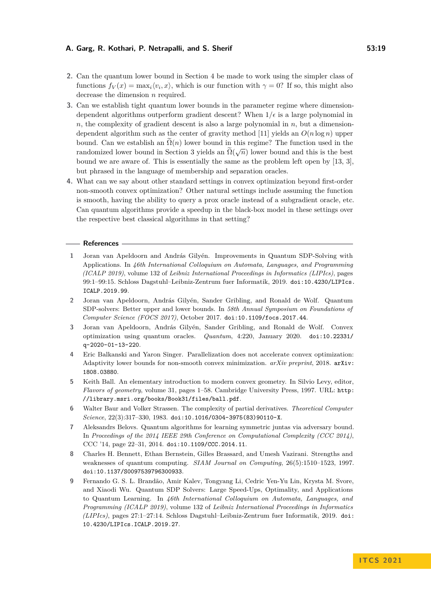- **2.** Can the quantum lower bound in Section [4](#page-10-1) be made to work using the simpler class of functions  $f_V(x) = \max_i \langle v_i, x \rangle$ , which is our function with  $\gamma = 0$ ? If so, this might also decrease the dimension *n* required.
- **3.** Can we establish tight quantum lower bounds in the parameter regime where dimensiondependent algorithms outperform gradient descent? When  $1/\epsilon$  is a large polynomial in *n*, the complexity of gradient descent is also a large polynomial in *n*, but a dimension-dependent algorithm such as the center of gravity method [\[11\]](#page-19-4) yields an  $O(n \log n)$  upper bound. Can we establish an  $\Omega(n)$  lower bound in this regime? The function used in the randomized lower bound in Section [3](#page-7-0) yields an  $\Omega(\sqrt{n})$  lower bound and this is the best bound we are aware of. This is essentially the same as the problem left open by [\[13,](#page-19-9) [3\]](#page-18-1), but phrased in the language of membership and separation oracles.
- **4.** What can we say about other standard settings in convex optimization beyond first-order non-smooth convex optimization? Other natural settings include assuming the function is smooth, having the ability to query a prox oracle instead of a subgradient oracle, etc. Can quantum algorithms provide a speedup in the black-box model in these settings over the respective best classical algorithms in that setting?

#### **References**

- <span id="page-18-7"></span>**1** Joran van Apeldoorn and András Gilyén. Improvements in Quantum SDP-Solving with Applications. In *46th International Colloquium on Automata, Languages, and Programming (ICALP 2019)*, volume 132 of *Leibniz International Proceedings in Informatics (LIPIcs)*, pages 99:1–99:15. Schloss Dagstuhl–Leibniz-Zentrum fuer Informatik, 2019. [doi:10.4230/LIPIcs.](https://doi.org/10.4230/LIPIcs.ICALP.2019.99) [ICALP.2019.99](https://doi.org/10.4230/LIPIcs.ICALP.2019.99).
- <span id="page-18-5"></span>**2** Joran van Apeldoorn, András Gilyén, Sander Gribling, and Ronald de Wolf. Quantum SDP-solvers: Better upper and lower bounds. In *58th Annual Symposium on Foundations of Computer Science (FOCS 2017)*, October 2017. [doi:10.1109/focs.2017.44](https://doi.org/10.1109/focs.2017.44).
- <span id="page-18-1"></span>**3** Joran van Apeldoorn, András Gilyén, Sander Gribling, and Ronald de Wolf. Convex optimization using quantum oracles. *Quantum*, 4:220, January 2020. [doi:10.22331/](https://doi.org/10.22331/q-2020-01-13-220) [q-2020-01-13-220](https://doi.org/10.22331/q-2020-01-13-220).
- <span id="page-18-4"></span>**4** Eric Balkanski and Yaron Singer. Parallelization does not accelerate convex optimization: Adaptivity lower bounds for non-smooth convex minimization. *arXiv preprint*, 2018. [arXiv:](http://arxiv.org/abs/1808.03880) [1808.03880](http://arxiv.org/abs/1808.03880).
- <span id="page-18-8"></span>**5** Keith Ball. An elementary introduction to modern convex geometry. In Silvio Levy, editor, *Flavors of geometry*, volume 31, pages 1–58. Cambridge University Press, 1997. URL: [http:](http://library.msri.org/books/Book31/files/ball.pdf) [//library.msri.org/books/Book31/files/ball.pdf](http://library.msri.org/books/Book31/files/ball.pdf).
- <span id="page-18-0"></span>**6** Walter Baur and Volker Strassen. The complexity of partial derivatives. *Theoretical Computer Science*, 22(3):317–330, 1983. [doi:10.1016/0304-3975\(83\)90110-X](https://doi.org/10.1016/0304-3975(83)90110-X).
- <span id="page-18-2"></span>**7** Aleksandrs Belovs. Quantum algorithms for learning symmetric juntas via adversary bound. In *Proceedings of the 2014 IEEE 29th Conference on Computational Complexity (CCC 2014)*, CCC '14, page 22–31, 2014. [doi:10.1109/CCC.2014.11](https://doi.org/10.1109/CCC.2014.11).
- <span id="page-18-3"></span>**8** Charles H. Bennett, Ethan Bernstein, Gilles Brassard, and Umesh Vazirani. Strengths and weaknesses of quantum computing. *SIAM Journal on Computing*, 26(5):1510–1523, 1997. [doi:10.1137/S0097539796300933](https://doi.org/10.1137/S0097539796300933).
- <span id="page-18-6"></span>**9** Fernando G. S. L. Brandão, Amir Kalev, Tongyang Li, Cedric Yen-Yu Lin, Krysta M. Svore, and Xiaodi Wu. Quantum SDP Solvers: Large Speed-Ups, Optimality, and Applications to Quantum Learning. In *46th International Colloquium on Automata, Languages, and Programming (ICALP 2019)*, volume 132 of *Leibniz International Proceedings in Informatics (LIPIcs)*, pages 27:1–27:14. Schloss Dagstuhl–Leibniz-Zentrum fuer Informatik, 2019. [doi:](https://doi.org/10.4230/LIPIcs.ICALP.2019.27) [10.4230/LIPIcs.ICALP.2019.27](https://doi.org/10.4230/LIPIcs.ICALP.2019.27).